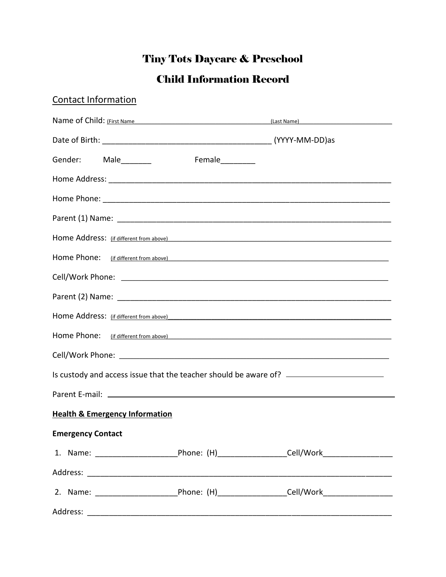# **Tiny Tots Daycare & Preschool**

## **Child Information Record**

| <b>Contact Information</b>                                                        |  |                  |                                                                                                                                                                                                                                |  |  |
|-----------------------------------------------------------------------------------|--|------------------|--------------------------------------------------------------------------------------------------------------------------------------------------------------------------------------------------------------------------------|--|--|
|                                                                                   |  |                  | Name of Child: (First Name and Contract of Child: Case Name)                                                                                                                                                                   |  |  |
|                                                                                   |  |                  |                                                                                                                                                                                                                                |  |  |
| Gender: Male________                                                              |  | Female__________ |                                                                                                                                                                                                                                |  |  |
|                                                                                   |  |                  |                                                                                                                                                                                                                                |  |  |
|                                                                                   |  |                  |                                                                                                                                                                                                                                |  |  |
|                                                                                   |  |                  |                                                                                                                                                                                                                                |  |  |
| Home Address: (if different from above)                                           |  |                  |                                                                                                                                                                                                                                |  |  |
| Home Phone: (if different from above)                                             |  |                  |                                                                                                                                                                                                                                |  |  |
|                                                                                   |  |                  |                                                                                                                                                                                                                                |  |  |
|                                                                                   |  |                  |                                                                                                                                                                                                                                |  |  |
|                                                                                   |  |                  | Home Address: (if different from above) 4. The set of the set of the set of the set of the set of the set of the set of the set of the set of the set of the set of the set of the set of the set of the set of the set of the |  |  |
|                                                                                   |  |                  |                                                                                                                                                                                                                                |  |  |
|                                                                                   |  |                  |                                                                                                                                                                                                                                |  |  |
| Is custody and access issue that the teacher should be aware of? ________________ |  |                  |                                                                                                                                                                                                                                |  |  |
|                                                                                   |  |                  |                                                                                                                                                                                                                                |  |  |
| <b>Health &amp; Emergency Information</b>                                         |  |                  |                                                                                                                                                                                                                                |  |  |
| <b>Emergency Contact</b>                                                          |  |                  |                                                                                                                                                                                                                                |  |  |
|                                                                                   |  |                  | 1. Name: _______________________________Phone: (H)_____________________Cell/Work____________________                                                                                                                           |  |  |
|                                                                                   |  |                  |                                                                                                                                                                                                                                |  |  |
|                                                                                   |  |                  | 2. Name: ______________________________Phone: (H)___________________Cell/Work______________________                                                                                                                            |  |  |
|                                                                                   |  |                  |                                                                                                                                                                                                                                |  |  |